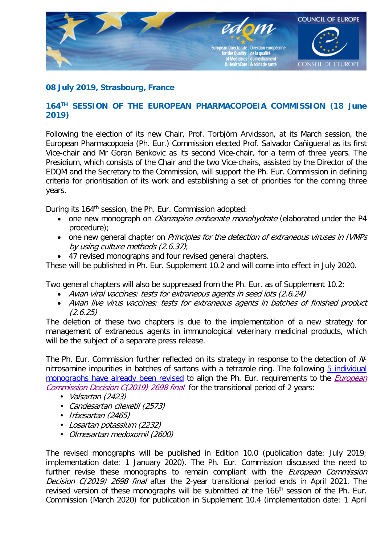

## **08 July 2019, Strasbourg, France**

## **164TH SESSION OF THE EUROPEAN PHARMACOPOEIA COMMISSION (18 June 2019)**

Following the election of its new Chair, Prof. Torbjörn Arvidsson, at its March session, the European Pharmacopoeia (Ph. Eur.) Commission elected Prof. Salvador Cañigueral as its first Vice-chair and Mr Goran Benkovic as its second Vice-chair, for a term of three years. The Presidium, which consists of the Chair and the two Vice-chairs, assisted by the Director of the EDQM and the Secretary to the Commission, will support the Ph. Eur. Commission in defining criteria for prioritisation of its work and establishing a set of priorities for the coming three years.

During its 164<sup>th</sup> session, the Ph. Eur. Commission adopted:

- one new monograph on *Olanzapine embonate monohydrate* (elaborated under the P4 procedure);
- one new general chapter on *Principles for the detection of extraneous viruses in IVMPs* by using culture methods (2.6.37);
- 47 revised monographs and four revised general chapters.

These will be published in Ph. Eur. Supplement 10.2 and will come into effect in July 2020.

Two general chapters will also be suppressed from the Ph. Eur. as of Supplement 10.2:

- Avian viral vaccines: tests for extraneous agents in seed lots (2.6.24)
- Avian live virus vaccines: tests for extraneous agents in batches of finished product (2.6.25)

The deletion of these two chapters is due to the implementation of a new strategy for management of extraneous agents in immunological veterinary medicinal products, which will be the subject of a separate press release.

The Ph. Eur. Commission further reflected on its strategy in response to the detection of Nnitrosamine impurities in batches of sartans with a tetrazole ring. The following 5 individual [monographs have already been revised](https://www.edqm.eu/en/news/control-nitrosamine-impurities-sartans-revision-five-ph-eur-monographs) to align the Ph. Eur. requirements to the *European* [Commission Decision C\(2019\) 2698 final](http://ec.europa.eu/health/documents/community-register/html/ho26820.htm) for the transitional period of 2 years:

- Valsartan (2423)
- Candesartan cilexetil (2573)
- Irbesartan (2465)
- Losartan potassium (2232)
- Olmesartan medoxomil (2600)

The revised monographs will be published in Edition 10.0 (publication date: July 2019; implementation date: 1 January 2020). The Ph. Eur. Commission discussed the need to further revise these monographs to remain compliant with the *European Commission* Decision C(2019) 2698 final after the 2-year transitional period ends in April 2021. The revised version of these monographs will be submitted at the 166<sup>th</sup> session of the Ph. Eur. Commission (March 2020) for publication in Supplement 10.4 (implementation date: 1 April